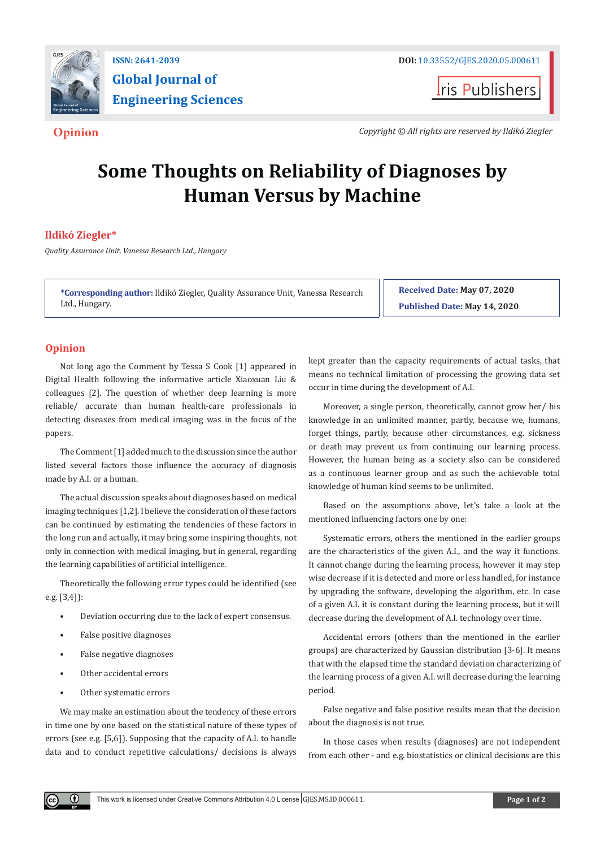

# **Global Journal of Engineering Sciences**

**I**ris Publishers

**Opinion** *Copyright © All rights are reserved by Ildikó Ziegler*

## **Some Thoughts on Reliability of Diagnoses by Human Versus by Machine**

### **Ildikó Ziegler\***

*Quality Assurance Unit, Vanessa Research Ltd., Hungary*

**\*Corresponding author:** Ildikó Ziegler, Quality Assurance Unit, Vanessa Research Ltd., Hungary.

**Received Date: May 07, 2020 Published Date: May 14, 2020**

#### **Opinion**

Not long ago the Comment by Tessa S Cook [1] appeared in Digital Health following the informative article Xiaoxuan Liu & colleagues [2]. The question of whether deep learning is more reliable/ accurate than human health-care professionals in detecting diseases from medical imaging was in the focus of the papers.

The Comment [1] added much to the discussion since the author listed several factors those influence the accuracy of diagnosis made by A.I. or a human.

The actual discussion speaks about diagnoses based on medical imaging techniques [1,2]. I believe the consideration of these factors can be continued by estimating the tendencies of these factors in the long run and actually, it may bring some inspiring thoughts, not only in connection with medical imaging, but in general, regarding the learning capabilities of artificial intelligence.

Theoretically the following error types could be identified (see e.g. [3,4]):

- Deviation occurring due to the lack of expert consensus.
- False positive diagnoses
- False negative diagnoses
- Other accidental errors
- Other systematic errors

 $\left( \cdot \right)$ 

We may make an estimation about the tendency of these errors in time one by one based on the statistical nature of these types of errors (see e.g. [5,6]). Supposing that the capacity of A.I. to handle data and to conduct repetitive calculations/ decisions is always kept greater than the capacity requirements of actual tasks, that means no technical limitation of processing the growing data set occur in time during the development of A.I.

Moreover, a single person, theoretically, cannot grow her/ his knowledge in an unlimited manner, partly, because we, humans, forget things, partly, because other circumstances, e.g. sickness or death may prevent us from continuing our learning process. However, the human being as a society also can be considered as a continuous learner group and as such the achievable total knowledge of human kind seems to be unlimited.

Based on the assumptions above, let's take a look at the mentioned influencing factors one by one:

Systematic errors, others the mentioned in the earlier groups are the characteristics of the given A.I., and the way it functions. It cannot change during the learning process, however it may step wise decrease if it is detected and more or less handled, for instance by upgrading the software, developing the algorithm, etc. In case of a given A.I. it is constant during the learning process, but it will decrease during the development of A.I. technology over time.

Accidental errors (others than the mentioned in the earlier groups) are characterized by Gaussian distribution [3-6]. It means that with the elapsed time the standard deviation characterizing of the learning process of a given A.I. will decrease during the learning period.

False negative and false positive results mean that the decision about the diagnosis is not true.

In those cases when results (diagnoses) are not independent from each other - and e.g. biostatistics or clinical decisions are this